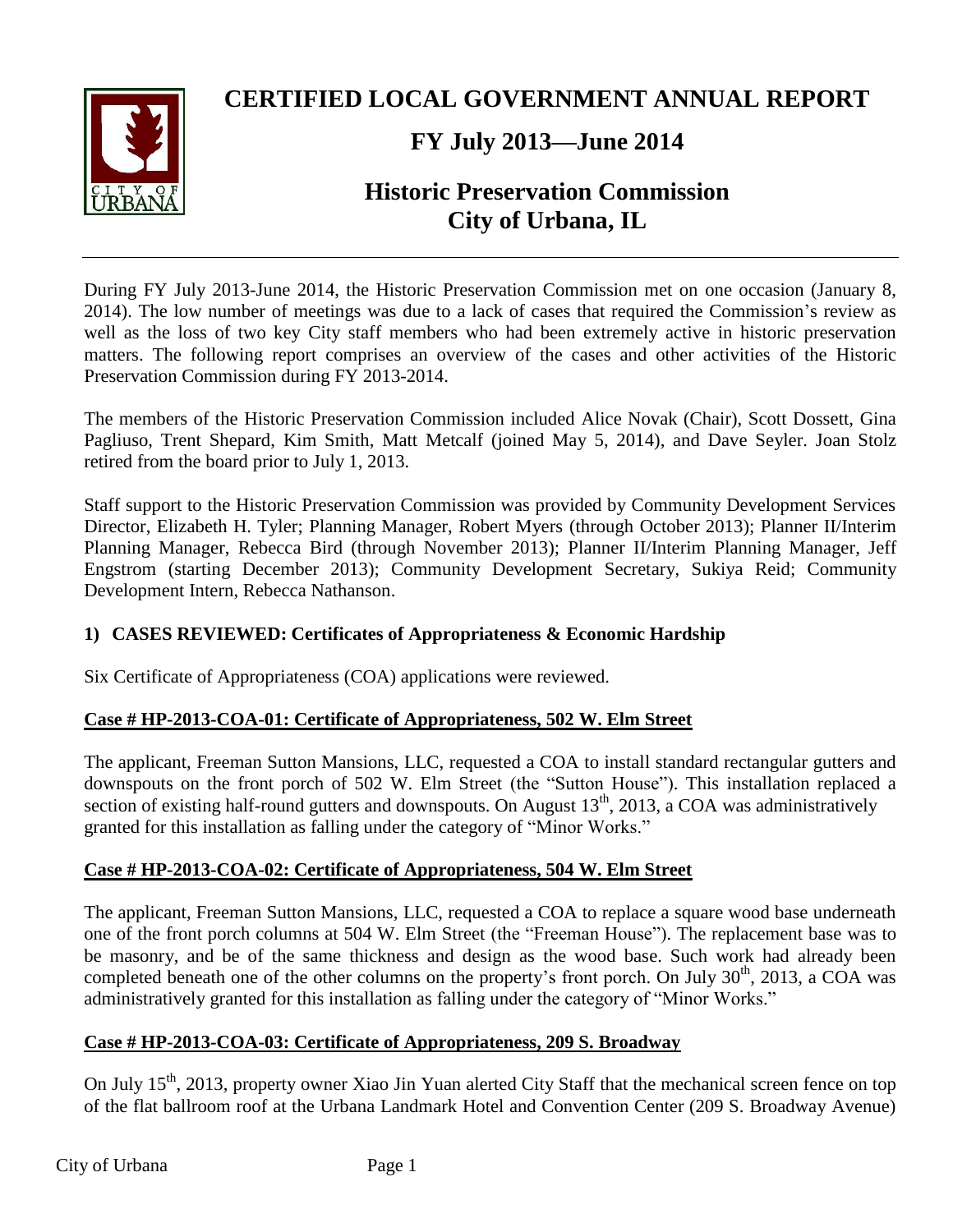

## **CERTIFIED LOCAL GOVERNMENT ANNUAL REPORT**

## **FY July 2013—June 2014**

# **Historic Preservation Commission City of Urbana, IL**

During FY July 2013-June 2014, the Historic Preservation Commission met on one occasion (January 8, 2014). The low number of meetings was due to a lack of cases that required the Commission's review as well as the loss of two key City staff members who had been extremely active in historic preservation matters. The following report comprises an overview of the cases and other activities of the Historic Preservation Commission during FY 2013-2014.

The members of the Historic Preservation Commission included Alice Novak (Chair), Scott Dossett, Gina Pagliuso, Trent Shepard, Kim Smith, Matt Metcalf (joined May 5, 2014), and Dave Seyler. Joan Stolz retired from the board prior to July 1, 2013.

Staff support to the Historic Preservation Commission was provided by Community Development Services Director, Elizabeth H. Tyler; Planning Manager, Robert Myers (through October 2013); Planner II/Interim Planning Manager, Rebecca Bird (through November 2013); Planner II/Interim Planning Manager, Jeff Engstrom (starting December 2013); Community Development Secretary, Sukiya Reid; Community Development Intern, Rebecca Nathanson.

## **1) CASES REVIEWED: Certificates of Appropriateness & Economic Hardship**

Six Certificate of Appropriateness (COA) applications were reviewed.

### **Case # HP-2013-COA-01: Certificate of Appropriateness, 502 W. Elm Street**

The applicant, Freeman Sutton Mansions, LLC, requested a COA to install standard rectangular gutters and downspouts on the front porch of 502 W. Elm Street (the "Sutton House"). This installation replaced a section of existing half-round gutters and downspouts. On August  $13<sup>th</sup>$ , 2013, a COA was administratively granted for this installation as falling under the category of "Minor Works."

### **Case # HP-2013-COA-02: Certificate of Appropriateness, 504 W. Elm Street**

The applicant, Freeman Sutton Mansions, LLC, requested a COA to replace a square wood base underneath one of the front porch columns at 504 W. Elm Street (the "Freeman House"). The replacement base was to be masonry, and be of the same thickness and design as the wood base. Such work had already been completed beneath one of the other columns on the property's front porch. On July  $30<sup>th</sup>$ , 2013, a COA was administratively granted for this installation as falling under the category of "Minor Works."

#### **Case # HP-2013-COA-03: Certificate of Appropriateness, 209 S. Broadway**

On July 15<sup>th</sup>, 2013, property owner Xiao Jin Yuan alerted City Staff that the mechanical screen fence on top of the flat ballroom roof at the Urbana Landmark Hotel and Convention Center (209 S. Broadway Avenue)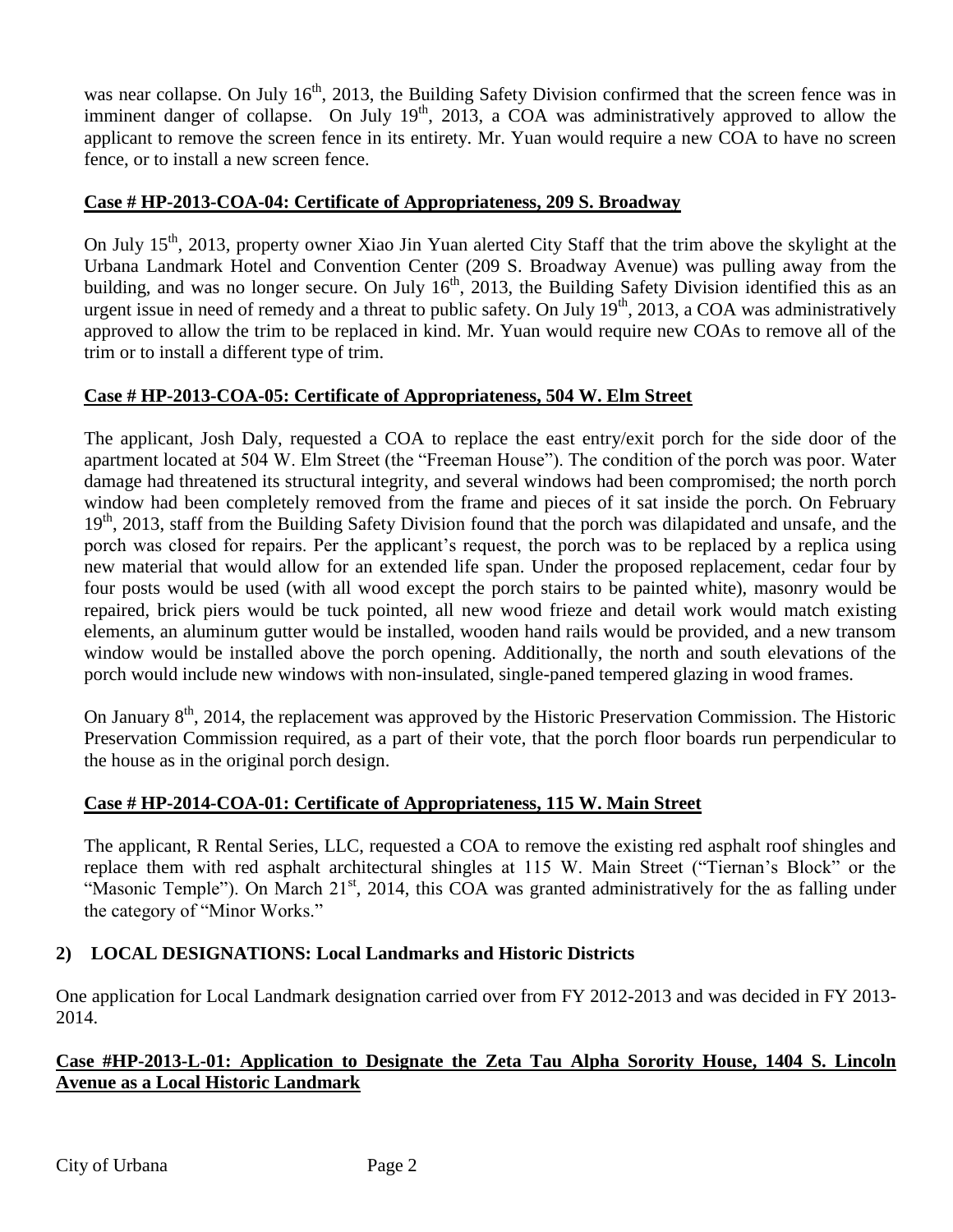was near collapse. On July  $16<sup>th</sup>$ , 2013, the Building Safety Division confirmed that the screen fence was in imminent danger of collapse. On July  $19<sup>th</sup>$ , 2013, a COA was administratively approved to allow the applicant to remove the screen fence in its entirety. Mr. Yuan would require a new COA to have no screen fence, or to install a new screen fence.

### **Case # HP-2013-COA-04: Certificate of Appropriateness, 209 S. Broadway**

On July 15<sup>th</sup>, 2013, property owner Xiao Jin Yuan alerted City Staff that the trim above the skylight at the Urbana Landmark Hotel and Convention Center (209 S. Broadway Avenue) was pulling away from the building, and was no longer secure. On July  $16<sup>th</sup>$ , 2013, the Building Safety Division identified this as an urgent issue in need of remedy and a threat to public safety. On July  $19<sup>th</sup>$ , 2013, a COA was administratively approved to allow the trim to be replaced in kind. Mr. Yuan would require new COAs to remove all of the trim or to install a different type of trim.

### **Case # HP-2013-COA-05: Certificate of Appropriateness, 504 W. Elm Street**

The applicant, Josh Daly, requested a COA to replace the east entry/exit porch for the side door of the apartment located at 504 W. Elm Street (the "Freeman House"). The condition of the porch was poor. Water damage had threatened its structural integrity, and several windows had been compromised; the north porch window had been completely removed from the frame and pieces of it sat inside the porch. On February  $19<sup>th</sup>$ , 2013, staff from the Building Safety Division found that the porch was dilapidated and unsafe, and the porch was closed for repairs. Per the applicant's request, the porch was to be replaced by a replica using new material that would allow for an extended life span. Under the proposed replacement, cedar four by four posts would be used (with all wood except the porch stairs to be painted white), masonry would be repaired, brick piers would be tuck pointed, all new wood frieze and detail work would match existing elements, an aluminum gutter would be installed, wooden hand rails would be provided, and a new transom window would be installed above the porch opening. Additionally, the north and south elevations of the porch would include new windows with non-insulated, single-paned tempered glazing in wood frames.

On January  $8<sup>th</sup>$ , 2014, the replacement was approved by the Historic Preservation Commission. The Historic Preservation Commission required, as a part of their vote, that the porch floor boards run perpendicular to the house as in the original porch design.

## **Case # HP-2014-COA-01: Certificate of Appropriateness, 115 W. Main Street**

The applicant, R Rental Series, LLC, requested a COA to remove the existing red asphalt roof shingles and replace them with red asphalt architectural shingles at 115 W. Main Street ("Tiernan's Block" or the "Masonic Temple"). On March 21<sup>st</sup>, 2014, this COA was granted administratively for the as falling under the category of "Minor Works."

## **2) LOCAL DESIGNATIONS: Local Landmarks and Historic Districts**

One application for Local Landmark designation carried over from FY 2012-2013 and was decided in FY 2013- 2014.

### **Case #HP-2013-L-01: Application to Designate the Zeta Tau Alpha Sorority House, 1404 S. Lincoln Avenue as a Local Historic Landmark**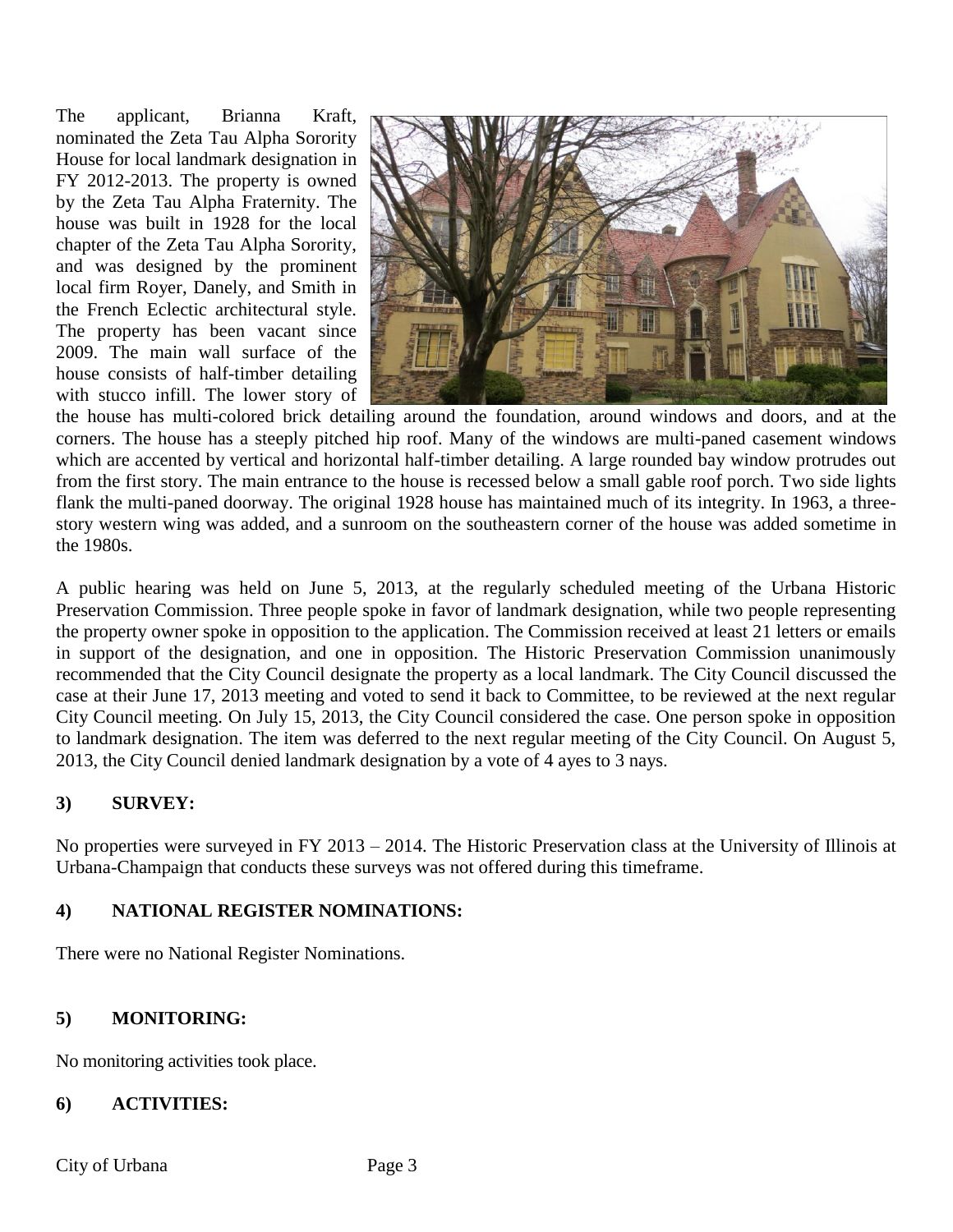The applicant, Brianna Kraft, nominated the Zeta Tau Alpha Sorority House for local landmark designation in FY 2012-2013. The property is owned by the Zeta Tau Alpha Fraternity. The house was built in 1928 for the local chapter of the Zeta Tau Alpha Sorority, and was designed by the prominent local firm Royer, Danely, and Smith in the French Eclectic architectural style. The property has been vacant since 2009. The main wall surface of the house consists of half-timber detailing with stucco infill. The lower story of



the house has multi-colored brick detailing around the foundation, around windows and doors, and at the corners. The house has a steeply pitched hip roof. Many of the windows are multi-paned casement windows which are accented by vertical and horizontal half-timber detailing. A large rounded bay window protrudes out from the first story. The main entrance to the house is recessed below a small gable roof porch. Two side lights flank the multi-paned doorway. The original 1928 house has maintained much of its integrity. In 1963, a threestory western wing was added, and a sunroom on the southeastern corner of the house was added sometime in the 1980s.

A public hearing was held on June 5, 2013, at the regularly scheduled meeting of the Urbana Historic Preservation Commission. Three people spoke in favor of landmark designation, while two people representing the property owner spoke in opposition to the application. The Commission received at least 21 letters or emails in support of the designation, and one in opposition. The Historic Preservation Commission unanimously recommended that the City Council designate the property as a local landmark. The City Council discussed the case at their June 17, 2013 meeting and voted to send it back to Committee, to be reviewed at the next regular City Council meeting. On July 15, 2013, the City Council considered the case. One person spoke in opposition to landmark designation. The item was deferred to the next regular meeting of the City Council. On August 5, 2013, the City Council denied landmark designation by a vote of 4 ayes to 3 nays.

### **3) SURVEY:**

No properties were surveyed in FY 2013 – 2014. The Historic Preservation class at the University of Illinois at Urbana-Champaign that conducts these surveys was not offered during this timeframe.

## **4) NATIONAL REGISTER NOMINATIONS:**

There were no National Register Nominations.

### **5) MONITORING:**

No monitoring activities took place.

#### **6) ACTIVITIES:**

City of Urbana Page 3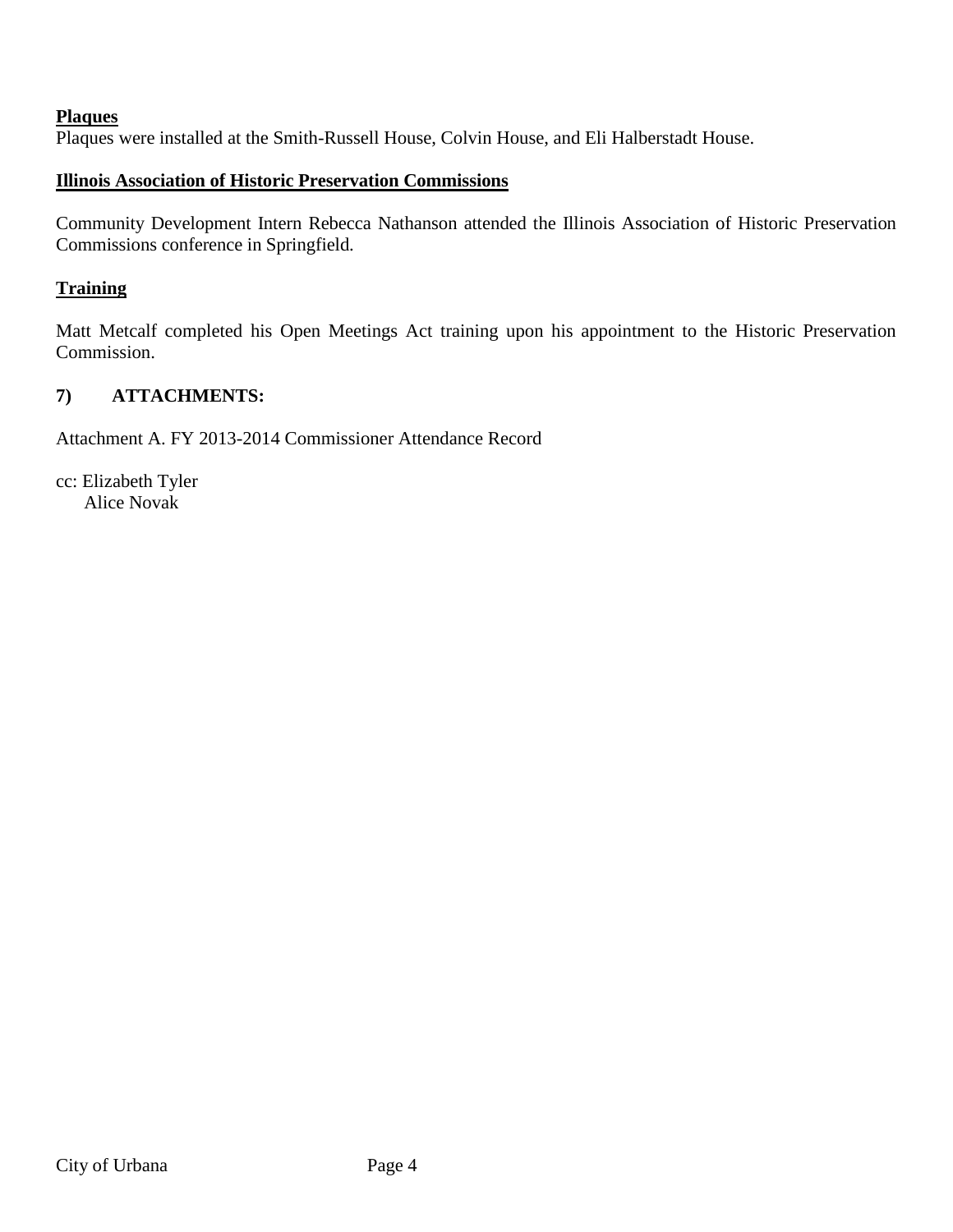#### **Plaques**

Plaques were installed at the Smith-Russell House, Colvin House, and Eli Halberstadt House.

#### **Illinois Association of Historic Preservation Commissions**

Community Development Intern Rebecca Nathanson attended the Illinois Association of Historic Preservation Commissions conference in Springfield.

#### **Training**

Matt Metcalf completed his Open Meetings Act training upon his appointment to the Historic Preservation Commission.

### **7) ATTACHMENTS:**

Attachment A. FY 2013-2014 Commissioner Attendance Record

cc: Elizabeth Tyler Alice Novak